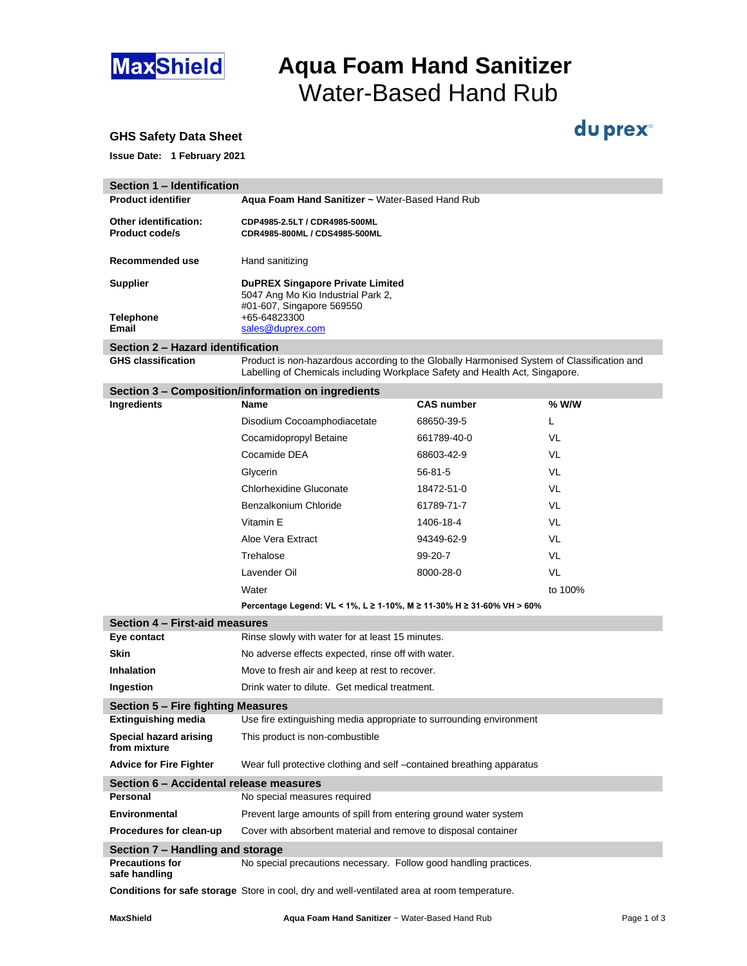

## **MaxShield Aqua Foam Hand Sanitizer** Water-Based Hand Rub

du prex<sup>®</sup>

### **GHS Safety Data Sheet**

**Issue Date: 1 February 2021**

| Section 1 - Identification                         |                                                                                                                                                                            |                   |           |  |  |
|----------------------------------------------------|----------------------------------------------------------------------------------------------------------------------------------------------------------------------------|-------------------|-----------|--|--|
| <b>Product identifier</b>                          | Aqua Foam Hand Sanitizer ~ Water-Based Hand Rub                                                                                                                            |                   |           |  |  |
| Other identification:<br><b>Product code/s</b>     | CDP4985-2.5LT / CDR4985-500ML<br>CDR4985-800ML / CDS4985-500ML                                                                                                             |                   |           |  |  |
| Recommended use                                    | Hand sanitizing                                                                                                                                                            |                   |           |  |  |
| <b>Supplier</b>                                    | <b>DuPREX Singapore Private Limited</b><br>5047 Ang Mo Kio Industrial Park 2,<br>#01-607, Singapore 569550                                                                 |                   |           |  |  |
| <b>Telephone</b><br>Email                          | +65-64823300<br>sales@duprex.com                                                                                                                                           |                   |           |  |  |
| Section 2 - Hazard identification                  |                                                                                                                                                                            |                   |           |  |  |
| <b>GHS classification</b>                          | Product is non-hazardous according to the Globally Harmonised System of Classification and<br>Labelling of Chemicals including Workplace Safety and Health Act, Singapore. |                   |           |  |  |
| Section 3 - Composition/information on ingredients |                                                                                                                                                                            |                   |           |  |  |
| Ingredients                                        | <b>Name</b>                                                                                                                                                                | <b>CAS number</b> | $%$ W/W   |  |  |
|                                                    | Disodium Cocoamphodiacetate                                                                                                                                                | 68650-39-5        | L         |  |  |
|                                                    | Cocamidopropyl Betaine                                                                                                                                                     | 661789-40-0       | VL        |  |  |
|                                                    | Cocamide DEA                                                                                                                                                               | 68603-42-9        | VL        |  |  |
|                                                    | Glycerin                                                                                                                                                                   | $56 - 81 - 5$     | VL        |  |  |
|                                                    | <b>Chlorhexidine Gluconate</b>                                                                                                                                             | 18472-51-0        | VL        |  |  |
|                                                    | Benzalkonium Chloride                                                                                                                                                      | 61789-71-7        | VL        |  |  |
|                                                    | Vitamin E                                                                                                                                                                  | 1406-18-4         | VL        |  |  |
|                                                    | Aloe Vera Extract                                                                                                                                                          | 94349-62-9        | VL        |  |  |
|                                                    | Trehalose                                                                                                                                                                  | 99-20-7           | VL        |  |  |
|                                                    | Lavender Oil                                                                                                                                                               | 8000-28-0         | <b>VL</b> |  |  |
|                                                    | Water                                                                                                                                                                      |                   | to 100%   |  |  |
|                                                    | Percentage Legend: VL < 1%, L ≥ 1-10%, M ≥ 11-30% H ≥ 31-60% VH > 60%                                                                                                      |                   |           |  |  |
| Section 4 - First-aid measures                     |                                                                                                                                                                            |                   |           |  |  |
| Eye contact                                        | Rinse slowly with water for at least 15 minutes.                                                                                                                           |                   |           |  |  |
| <b>Skin</b>                                        | No adverse effects expected, rinse off with water.                                                                                                                         |                   |           |  |  |
| <b>Inhalation</b>                                  | Move to fresh air and keep at rest to recover.                                                                                                                             |                   |           |  |  |
| Ingestion                                          | Drink water to dilute. Get medical treatment.                                                                                                                              |                   |           |  |  |
| Section 5 - Fire fighting Measures                 |                                                                                                                                                                            |                   |           |  |  |
| <b>Extinguishing media</b>                         | Use fire extinguishing media appropriate to surrounding environment                                                                                                        |                   |           |  |  |
| Special hazard arising<br>from mixture             | This product is non-combustible                                                                                                                                            |                   |           |  |  |

Advice for Fire Fighter Wear full protective clothing and self -contained breathing apparatus

**Section 6 – Accidental release measures Personal** No special measures required

**Environmental** Prevent large amounts of spill from entering ground water system

### **Procedures for clean-up** Cover with absorbent material and remove to disposal container

#### **Section 7 – Handling and storage**

**Precautions for** No special precautions necessary. Follow good handling practices. **safe handling**

**Conditions for safe storage** Store in cool, dry and well-ventilated area at room temperature.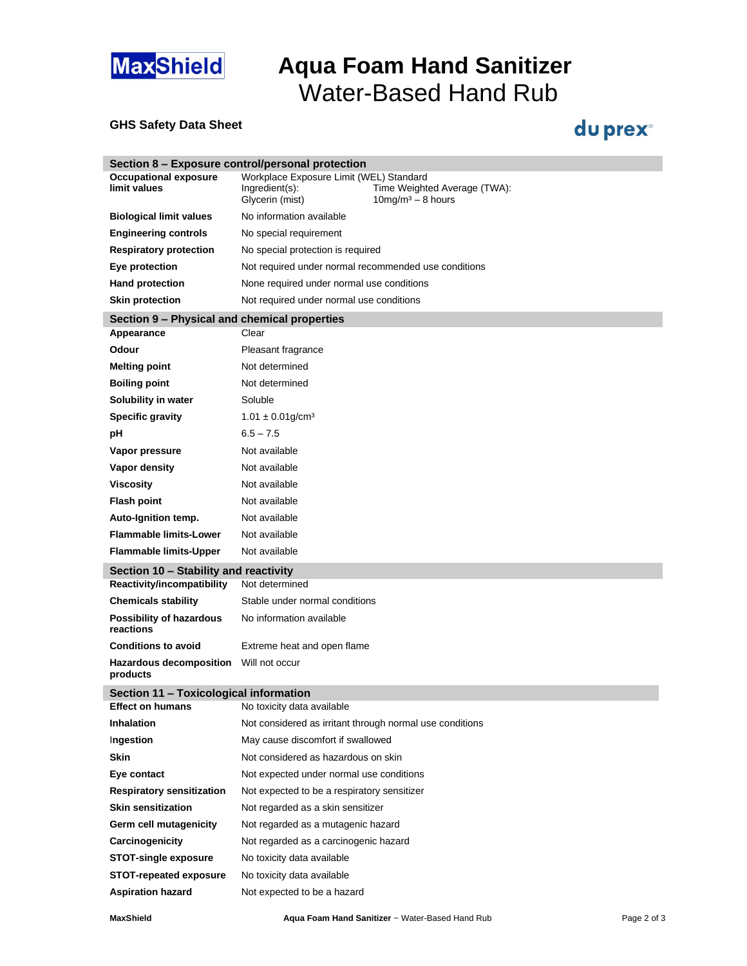

# **MaxShield Aqua Foam Hand Sanitizer** Water-Based Hand Rub

### **GHS Safety Data Sheet**

## du prex<sup>®</sup>

| Section 8 - Exposure control/personal protection |                                                                              |                                                                  |  |  |  |
|--------------------------------------------------|------------------------------------------------------------------------------|------------------------------------------------------------------|--|--|--|
| <b>Occupational exposure</b><br>limit values     | Workplace Exposure Limit (WEL) Standard<br>Ingredient(s):<br>Glycerin (mist) | Time Weighted Average (TWA):<br>$10$ mg/m <sup>3</sup> - 8 hours |  |  |  |
| <b>Biological limit values</b>                   | No information available                                                     |                                                                  |  |  |  |
| <b>Engineering controls</b>                      | No special requirement                                                       |                                                                  |  |  |  |
| <b>Respiratory protection</b>                    | No special protection is required                                            |                                                                  |  |  |  |
| Eye protection                                   | Not required under normal recommended use conditions                         |                                                                  |  |  |  |
| <b>Hand protection</b>                           | None required under normal use conditions                                    |                                                                  |  |  |  |
| <b>Skin protection</b>                           | Not required under normal use conditions                                     |                                                                  |  |  |  |
| Section 9 - Physical and chemical properties     |                                                                              |                                                                  |  |  |  |
| Appearance                                       | Clear                                                                        |                                                                  |  |  |  |
| Odour                                            | Pleasant fragrance                                                           |                                                                  |  |  |  |
| <b>Melting point</b>                             | Not determined                                                               |                                                                  |  |  |  |
| <b>Boiling point</b>                             | Not determined                                                               |                                                                  |  |  |  |
| Solubility in water                              | Soluble                                                                      |                                                                  |  |  |  |
| <b>Specific gravity</b>                          | $1.01 \pm 0.01$ g/cm <sup>3</sup>                                            |                                                                  |  |  |  |
| рH                                               | $6.5 - 7.5$                                                                  |                                                                  |  |  |  |
| Vapor pressure                                   | Not available                                                                |                                                                  |  |  |  |
| Vapor density                                    | Not available                                                                |                                                                  |  |  |  |
| <b>Viscosity</b>                                 | Not available                                                                |                                                                  |  |  |  |
| <b>Flash point</b>                               | Not available                                                                |                                                                  |  |  |  |
| Auto-Ignition temp.                              | Not available                                                                |                                                                  |  |  |  |
| <b>Flammable limits-Lower</b>                    | Not available                                                                |                                                                  |  |  |  |
| <b>Flammable limits-Upper</b>                    | Not available                                                                |                                                                  |  |  |  |
| Section 10 - Stability and reactivity            |                                                                              |                                                                  |  |  |  |
| Reactivity/incompatibility                       | Not determined                                                               |                                                                  |  |  |  |
| <b>Chemicals stability</b>                       | Stable under normal conditions                                               |                                                                  |  |  |  |
| Possibility of hazardous<br>reactions            | No information available                                                     |                                                                  |  |  |  |
| <b>Conditions to avoid</b>                       | Extreme heat and open flame                                                  |                                                                  |  |  |  |
| <b>Hazardous decomposition</b><br>products       | Will not occur                                                               |                                                                  |  |  |  |
| Section 11 - Toxicological information           |                                                                              |                                                                  |  |  |  |
| <b>Effect on humans</b>                          | No toxicity data available                                                   |                                                                  |  |  |  |
| Inhalation                                       | Not considered as irritant through normal use conditions                     |                                                                  |  |  |  |
| Ingestion                                        | May cause discomfort if swallowed                                            |                                                                  |  |  |  |
| <b>Skin</b>                                      | Not considered as hazardous on skin                                          |                                                                  |  |  |  |
| Eye contact                                      | Not expected under normal use conditions                                     |                                                                  |  |  |  |
| <b>Respiratory sensitization</b>                 | Not expected to be a respiratory sensitizer                                  |                                                                  |  |  |  |
| <b>Skin sensitization</b>                        | Not regarded as a skin sensitizer                                            |                                                                  |  |  |  |
| Germ cell mutagenicity                           | Not regarded as a mutagenic hazard                                           |                                                                  |  |  |  |
| Carcinogenicity                                  | Not regarded as a carcinogenic hazard                                        |                                                                  |  |  |  |
| <b>STOT-single exposure</b>                      | No toxicity data available                                                   |                                                                  |  |  |  |
| <b>STOT-repeated exposure</b>                    | No toxicity data available                                                   |                                                                  |  |  |  |
| <b>Aspiration hazard</b>                         | Not expected to be a hazard                                                  |                                                                  |  |  |  |